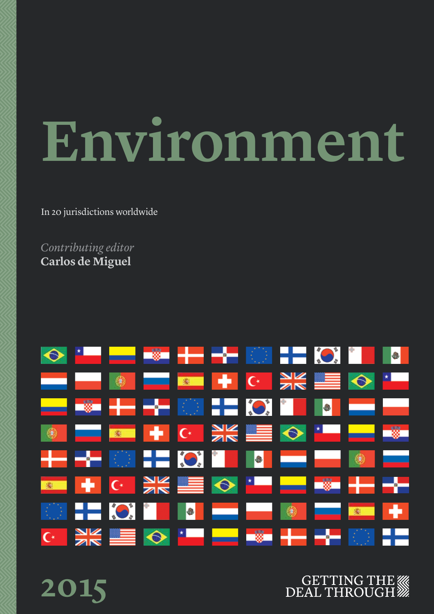# **Environment**

In 20 jurisdictions worldwide

*Contributing editor* **Carlos de Miguel** 



**2015**

### **GETTING THE WW DEAL THROUGH**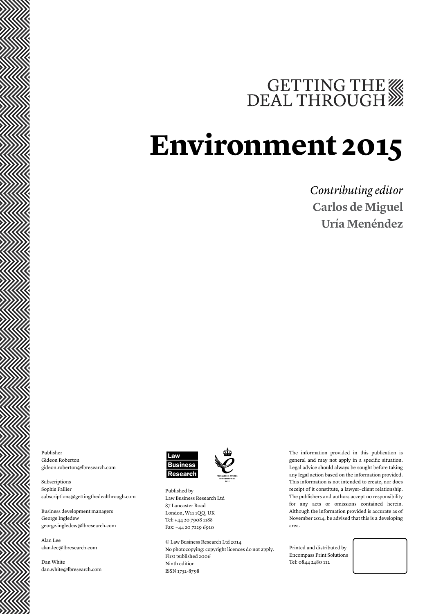# GETTING THE

# **Environment 2015**

### *Contributing editor* **Carlos de Miguel Uría Menéndez**

Publisher Gideon Roberton gideon.roberton@lbresearch.com

Subscriptions Sophie Pallier subscriptions@gettingthedealthrough.com

Business development managers George Ingledew george.ingledew@lbresearch.com

Alan Lee alan.lee@lbresearch.com

Dan White dan.white@lbresearch.com



Published by Law Business Research Ltd 87 Lancaster Road London, W11 1QQ, UK Tel: +44 20 7908 1188 Fax: +44 20 7229 6910

© Law Business Research Ltd 2014 No photocopying: copyright licences do not apply. First published 2006 Ninth edition ISSN 1752-8798

The information provided in this publication is general and may not apply in a specific situation. Legal advice should always be sought before taking any legal action based on the information provided. This information is not intended to create, nor does receipt of it constitute, a lawyer–client relationship. The publishers and authors accept no responsibility for any acts or omissions contained herein. Although the information provided is accurate as of November 2014, be advised that this is a developing area.

Printed and distributed by Encompass Print Solutions Tel: 0844 2480 112

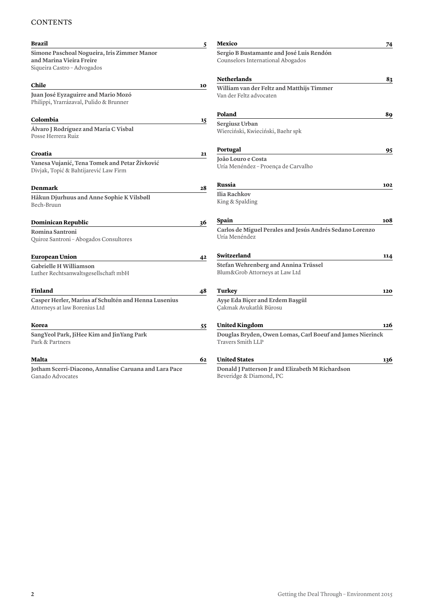#### **CONTENTS**

| 83<br>89<br>95                                            |
|-----------------------------------------------------------|
|                                                           |
|                                                           |
|                                                           |
|                                                           |
|                                                           |
|                                                           |
|                                                           |
|                                                           |
|                                                           |
|                                                           |
|                                                           |
| 102                                                       |
|                                                           |
|                                                           |
| 108                                                       |
| Carlos de Miguel Perales and Jesús Andrés Sedano Lorenzo  |
| 114                                                       |
|                                                           |
|                                                           |
| 120                                                       |
|                                                           |
|                                                           |
| 126                                                       |
| Douglas Bryden, Owen Lomas, Carl Boeuf and James Nierinck |
| 136                                                       |
|                                                           |
|                                                           |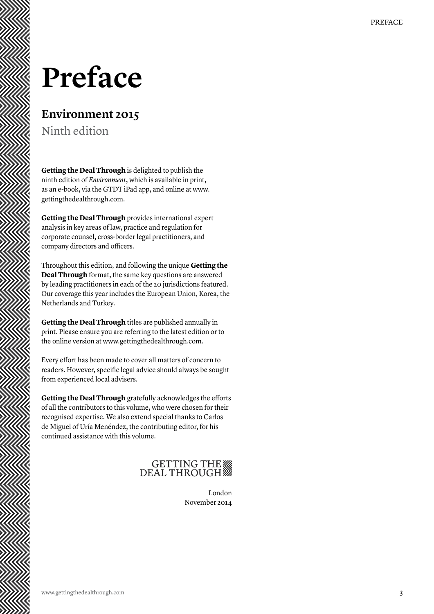# **Preface**

### **Environment 2015**

Ninth edition

**Getting the Deal Through** is delighted to publish the ninth edition of *Environment*, which is available in print, as an e-book, via the GTDT iPad app, and online at www. gettingthedealthrough.com.

**Getting the Deal Through** provides international expert analysis in key areas of law, practice and regulation for corporate counsel, cross-border legal practitioners, and company directors and officers.

Throughout this edition, and following the unique **Getting the Deal Through** format, the same key questions are answered by leading practitioners in each of the 20 jurisdictions featured. Our coverage this year includes the European Union, Korea, the Netherlands and Turkey.

**Getting the Deal Through** titles are published annually in print. Please ensure you are referring to the latest edition or to the online version at www.gettingthedealthrough.com.

Every effort has been made to cover all matters of concern to readers. However, specific legal advice should always be sought from experienced local advisers.

**Getting the Deal Through** gratefully acknowledges the efforts of all the contributors to this volume, who were chosen for their recognised expertise. We also extend special thanks to Carlos de Miguel of Uría Menéndez, the contributing editor, for his continued assistance with this volume.

# GETTING THE

London November 2014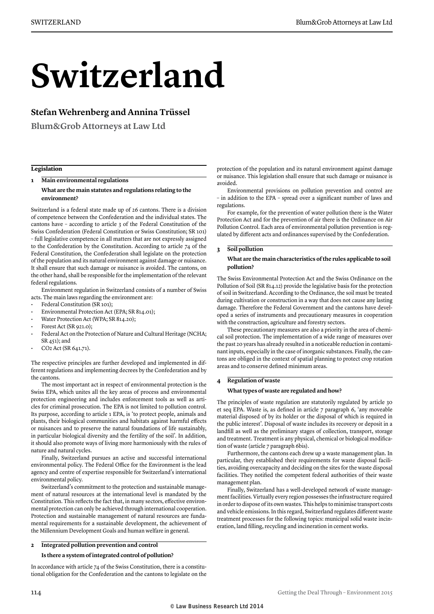# **Switzerland**

#### **Stefan Wehrenberg and Annina Trüssel**

**Blum&Grob Attorneys at Law Ltd**

#### **Legislation**

#### **1 Main environmental regulations**

#### **What are the main statutes and regulations relating to the environment?**

Switzerland is a federal state made up of 26 cantons. There is a division of competence between the Confederation and the individual states. The cantons have – according to article 3 of the Federal Constitution of the Swiss Confederation (Federal Constitution or Swiss Constitution; SR 101) – full legislative competence in all matters that are not expressly assigned to the Confederation by the Constitution. According to article 74 of the Federal Constitution, the Confederation shall legislate on the protection of the population and its natural environment against damage or nuisance. It shall ensure that such damage or nuisance is avoided. The cantons, on the other hand, shall be responsible for the implementation of the relevant federal regulations.

Environment regulation in Switzerland consists of a number of Swiss acts. The main laws regarding the environment are:

- Federal Constitution (SR 101);
- Environmental Protection Act (EPA; SR 814.01);
- Water Protection Act (WPA; SR 814.20);
- Forest Act (SR 921.0);
- Federal Act on the Protection of Nature and Cultural Heritage (NCHA; SR 451); and
- CO2 Act (SR 641.71).

The respective principles are further developed and implemented in different regulations and implementing decrees by the Confederation and by the cantons.

The most important act in respect of environmental protection is the Swiss EPA, which unites all the key areas of process and environmental protection engineering and includes enforcement tools as well as articles for criminal prosecution. The EPA is not limited to pollution control. Its purpose, according to article 1 EPA, is 'to protect people, animals and plants, their biological communities and habitats against harmful effects or nuisances and to preserve the natural foundations of life sustainably, in particular biological diversity and the fertility of the soil'. In addition, it should also promote ways of living more harmoniously with the rules of nature and natural cycles.

Finally, Switzerland pursues an active and successful international environmental policy. The Federal Office for the Environment is the lead agency and centre of expertise responsible for Switzerland's international environmental policy.

Switzerland's commitment to the protection and sustainable management of natural resources at the international level is mandated by the Constitution. This reflects the fact that, in many sectors, effective environmental protection can only be achieved through international cooperation. Protection and sustainable management of natural resources are fundamental requirements for a sustainable development, the achievement of the Millennium Development Goals and human welfare in general.

#### **2 Integrated pollution prevention and control**

#### **Is there a system of integrated control of pollution?**

In accordance with article 74 of the Swiss Constitution, there is a constitutional obligation for the Confederation and the cantons to legislate on the protection of the population and its natural environment against damage or nuisance. This legislation shall ensure that such damage or nuisance is avoided.

Environmental provisions on pollution prevention and control are – in addition to the EPA – spread over a significant number of laws and regulations.

For example, for the prevention of water pollution there is the Water Protection Act and for the prevention of air there is the Ordinance on Air Pollution Control. Each area of environmental pollution prevention is regulated by different acts and ordinances supervised by the Confederation.

#### **3 Soil pollution**

#### **What are the main characteristics of the rules applicable to soil pollution?**

The Swiss Environmental Protection Act and the Swiss Ordinance on the Pollution of Soil (SR 814.12) provide the legislative basis for the protection of soil in Switzerland. According to the Ordinance, the soil must be treated during cultivation or construction in a way that does not cause any lasting damage. Therefore the Federal Government and the cantons have developed a series of instruments and precautionary measures in cooperation with the construction, agriculture and forestry sectors.

These precautionary measures are also a priority in the area of chemical soil protection. The implementation of a wide range of measures over the past 20 years has already resulted in a noticeable reduction in contaminant inputs, especially in the case of inorganic substances. Finally, the cantons are obliged in the context of spatial planning to protect crop rotation areas and to conserve defined minimum areas.

#### **4 Regulation of waste What types of waste are regulated and how?**

The principles of waste regulation are statutorily regulated by article 30 et seq EPA. Waste is, as defined in article 7 paragraph 6, 'any moveable material disposed of by its holder or the disposal of which is required in the public interest'. Disposal of waste includes its recovery or deposit in a landfill as well as the preliminary stages of collection, transport, storage and treatment. Treatment is any physical, chemical or biological modification of waste (article 7 paragraph 6bis).

Furthermore, the cantons each drew up a waste management plan. In particular, they established their requirements for waste disposal facilities, avoiding overcapacity and deciding on the sites for the waste disposal facilities. They notified the competent federal authorities of their waste management plan.

Finally, Switzerland has a well-developed network of waste management facilities. Virtually every region possesses the infrastructure required in order to dispose of its own wastes. This helps to minimise transport costs and vehicle emissions. In this regard, Switzerland regulates different waste treatment processes for the following topics: municipal solid waste incineration, land filling, recycling and incineration in cement works.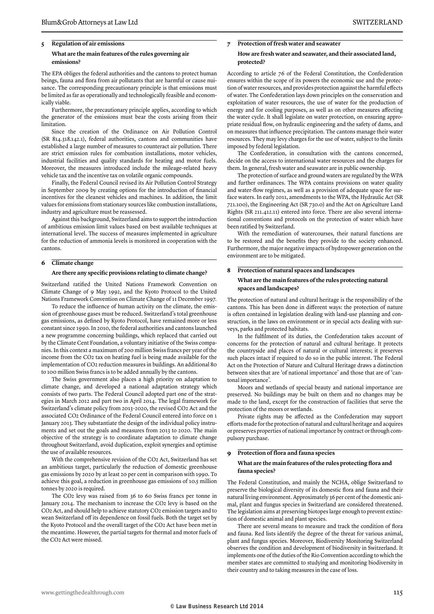#### **5 Regulation of air emissions What are the main features of the rules governing air**

**emissions?** 

The EPA obliges the federal authorities and the cantons to protect human beings, fauna and flora from air pollutants that are harmful or cause nuisance. The corresponding precautionary principle is that emissions must be limited as far as operationally and technologically feasible and economically viable.

Furthermore, the precautionary principle applies, according to which the generator of the emissions must bear the costs arising from their limitation.

Since the creation of the Ordinance on Air Pollution Control (SR 814.318.142.1), federal authorities, cantons and communities have established a large number of measures to counteract air pollution. There are strict emission rules for combustion installations, motor vehicles, industrial facilities and quality standards for heating and motor fuels. Moreover, the measures introduced include the mileage-related heavy vehicle tax and the incentive tax on volatile organic compounds.

Finally, the Federal Council revised its Air Pollution Control Strategy in September 2009 by creating options for the introduction of financial incentives for the cleanest vehicles and machines. In addition, the limit values for emissions from stationary sources like combustion installations, industry and agriculture must be reassessed.

Against this background, Switzerland aims to support the introduction of ambitious emission limit values based on best available techniques at international level. The success of measures implemented in agriculture for the reduction of ammonia levels is monitored in cooperation with the cantons.

#### **6 Climate change**

#### **Are there any specific provisions relating to climate change?**

Switzerland ratified the United Nations Framework Convention on Climate Change of 9 May 1992, and the Kyoto Protocol to the United Nations Framework Convention on Climate Change of 11 December 1997.

To reduce the influence of human activity on the climate, the emission of greenhouse gases must be reduced. Switzerland's total greenhouse gas emissions, as defined by Kyoto Protocol, have remained more or less constant since 1990. In 2010, the federal authorities and cantons launched a new programme concerning buildings, which replaced that carried out by the Climate Cent Foundation, a voluntary initiative of the Swiss companies. In this context a maximum of 200 million Swiss francs per year of the income from the CO2 tax on heating fuel is being made available for the implementation of CO2 reduction measures in buildings. An additional 80 to 100 million Swiss francs is to be added annually by the cantons.

The Swiss government also places a high priority on adaptation to climate change, and developed a national adaptation strategy which consists of two parts. The Federal Council adopted part one of the strategies in March 2012 and part two in April 2014. The legal framework for Switzerland's climate policy from 2013–2020, the revised CO2 Act and the associated CO2 Ordinance of the Federal Council entered into force on 1 January 2013. They substantiate the design of the individual policy instruments and set out the goals and measures from 2013 to 2020. The main objective of the strategy is to coordinate adaptation to climate change throughout Switzerland, avoid duplication, exploit synergies and optimise the use of available resources.

With the comprehensive revision of the CO2 Act, Switzerland has set an ambitious target, particularly the reduction of domestic greenhouse gas emissions by 2020 by at least 20 per cent in comparison with 1990. To achieve this goal, a reduction in greenhouse gas emissions of 10.5 million tonnes by 2020 is required.

The CO2 levy was raised from 36 to 60 Swiss francs per tonne in January 2014. The mechanism to increase the CO2 levy is based on the CO2 Act, and should help to achieve statutory CO2 emission targets and to wean Switzerland off its dependence on fossil fuels. Both the target set by the Kyoto Protocol and the overall target of the CO2 Act have been met in the meantime. However, the partial targets for thermal and motor fuels of the CO2 Act were missed.

#### **7 Protection of fresh water and seawater How are fresh water and seawater, and their associated land, protected?**

According to article 76 of the Federal Constitution, the Confederation ensures within the scope of its powers the economic use and the protection of water resources, and provides protection against the harmful effects of water. The Confederation lays down principles on the conservation and exploitation of water resources, the use of water for the production of energy and for cooling purposes, as well as on other measures affecting the water cycle. It shall legislate on water protection, on ensuring appropriate residual flow, on hydraulic engineering and the safety of dams, and on measures that influence precipitation. The cantons manage their water resources. They may levy charges for the use of water, subject to the limits imposed by federal legislation.

The Confederation, in consultation with the cantons concerned, decide on the access to international water resources and the charges for them. In general, fresh water and seawater are in public ownership.

The protection of surface and ground waters are regulated by the WPA and further ordinances. The WPA contains provisions on water quality and water-flow regimes, as well as a provision of adequate space for surface waters. In early 2011, amendments to the WPA, the Hydraulic Act (SR 721.100), the Engineering Act (SR 730.0) and the Act on Agriculture Land Rights (SR 211.412.11) entered into force. There are also several international conventions and protocols on the protection of water which have been ratified by Switzerland.

With the remediation of watercourses, their natural functions are to be restored and the benefits they provide to the society enhanced. Furthermore, the major negative impacts of hydropower generation on the environment are to be mitigated.

#### **8 Protection of natural spaces and landscapes What are the main features of the rules protecting natural spaces and landscapes?**

The protection of natural and cultural heritage is the responsibility of the cantons. This has been done in different ways: the protection of nature is often contained in legislation dealing with land-use planning and construction, in the laws on environment or in special acts dealing with surveys, parks and protected habitats.

In the fulfilment of its duties, the Confederation takes account of concerns for the protection of natural and cultural heritage. It protects the countryside and places of natural or cultural interests; it preserves such places intact if required to do so in the public interest. The Federal Act on the Protection of Nature and Cultural Heritage draws a distinction between sites that are 'of national importance' and those that are of 'cantonal importance'.

Moors and wetlands of special beauty and national importance are preserved. No buildings may be built on them and no changes may be made to the land, except for the construction of facilities that serve the protection of the moors or wetlands.

Private rights may be affected as the Confederation may support efforts made for the protection of natural and cultural heritage and acquires or preserves properties of national importance by contract or through compulsory purchase.

#### **9 Protection of flora and fauna species**

#### **What are the main features of the rules protecting flora and fauna species?**

The Federal Constitution, and mainly the NCHA, oblige Switzerland to preserve the biological diversity of its domestic flora and fauna and their natural living environment. Approximately 36 per cent of the domestic animal, plant and fungus species in Switzerland are considered threatened. The legislation aims at preserving biotopes large enough to prevent extinction of domestic animal and plant species.

There are several means to measure and track the condition of flora and fauna. Red lists identify the degree of the threat for various animal, plant and fungus species. Moreover, Biodiversity Monitoring Switzerland observes the condition and development of biodiversity in Switzerland. It implements one of the duties of the Rio Convention according to which the member states are committed to studying and monitoring biodiversity in their country and to taking measures in the case of loss.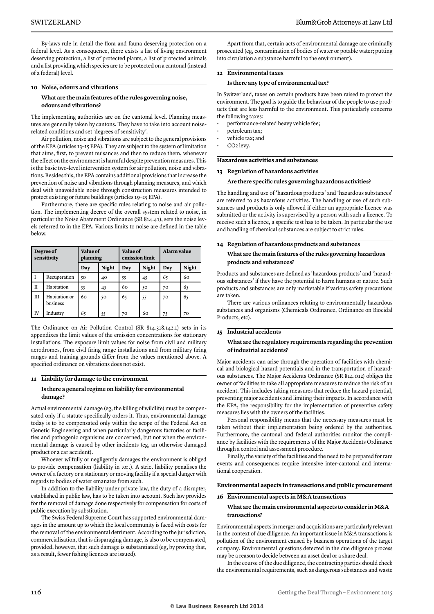By-laws rule in detail the flora and fauna deserving protection on a federal level. As a consequence, there exists a list of living environment deserving protection, a list of protected plants, a list of protected animals and a list providing which species are to be protected on a cantonal (instead of a federal) level.

#### **10 Noise, odours and vibrations**

#### **What are the main features of the rules governing noise, odours and vibrations?**

The implementing authorities are on the cantonal level. Planning measures are generally taken by cantons. They have to take into account noiserelated conditions and set 'degrees of sensitivity'.

Air pollution, noise and vibrations are subject to the general provisions of the EPA (articles 13–15 EPA). They are subject to the system of limitation that aims, first, to prevent nuisances and then to reduce them, whenever the effect on the environment is harmful despite prevention measures. This is the basic two-level intervention system for air pollution, noise and vibrations. Besides this, the EPA contains additional provisions that increase the prevention of noise and vibrations through planning measures, and which deal with unavoidable noise through construction measures intended to protect existing or future buildings (articles 19–25 EPA).

Furthermore, there are specific rules relating to noise and air pollution. The implementing decree of the overall system related to noise, in particular the Noise Abatement Ordinance (SR 814.41), sets the noise levels referred to in the EPA. Various limits to noise are defined in the table below.

| Degree of<br>sensitivity |                           | Value of<br>planning |              | Value of<br>emission limit |              | Alarm value |              |
|--------------------------|---------------------------|----------------------|--------------|----------------------------|--------------|-------------|--------------|
|                          |                           | Day                  | <b>Night</b> | Day                        | <b>Night</b> | Day         | <b>Night</b> |
|                          | Recuperation              | 50                   | 40           | 55                         | 45           | 65          | 60           |
| $\mathbf{H}$             | Habitation                | 55                   | 45           | 60                         | 50           | 70          | 65           |
| <b>III</b>               | Habitation or<br>business | 60                   | 50           | 65                         | 55           | 70          | 65           |
| IV                       | Industry                  | 65                   | 55           | 70                         | 60           | 75          | 70           |

The Ordinance on Air Pollution Control (SR 814.318.142.1) sets in its appendixes the limit values of the emission concentrations for stationary installations. The exposure limit values for noise from civil and military aerodromes, from civil firing range installations and from military firing ranges and training grounds differ from the values mentioned above. A specified ordinance on vibrations does not exist.

#### **11 Liability for damage to the environment**

#### **Is there a general regime on liability for environmental damage?**

Actual environmental damage (eg, the killing of wildlife) must be compensated only if a statute specifically orders it. Thus, environmental damage today is to be compensated only within the scope of the Federal Act on Genetic Engineering and when particularly dangerous factories or facilities and pathogenic organisms are concerned, but not when the environmental damage is caused by other incidents (eg, an otherwise damaged product or a car accident).

Whoever wilfully or negligently damages the environment is obliged to provide compensation (liability in tort). A strict liability penalises the owner of a factory or a stationary or moving facility if a special danger with regards to bodies of water emanates from such.

In addition to the liability under private law, the duty of a disrupter, established in public law, has to be taken into account. Such law provides for the removal of damage done respectively for compensation for costs of public execution by substitution.

The Swiss Federal Supreme Court has supported environmental damages in the amount up to which the local community is faced with costs for the removal of the environmental detriment. According to the jurisdiction, commercialisation, that is disparaging damage, is also to be compensated, provided, however, that such damage is substantiated (eg, by proving that, as a result, fewer fishing licences are issued).

Apart from that, certain acts of environmental damage are criminally prosecuted (eg, contamination of bodies of water or potable water; putting into circulation a substance harmful to the environment).

#### **12 Environmental taxes**

#### **Is there any type of environmental tax?**

In Switzerland, taxes on certain products have been raised to protect the environment. The goal is to guide the behaviour of the people to use products that are less harmful to the environment. This particularly concerns the following taxes:

- performance-related heavy vehicle fee;
- petroleum tax;
- vehicle tax; and
- CO2 levy.

#### **Hazardous activities and substances**

#### **13 Regulation of hazardous activities**

#### **Are there specific rules governing hazardous activities?**

The handling and use of 'hazardous products' and 'hazardous substances' are referred to as hazardous activities. The handling or use of such substances and products is only allowed if either an appropriate licence was submitted or the activity is supervised by a person with such a licence. To receive such a licence, a specific test has to be taken. In particular the use and handling of chemical substances are subject to strict rules.

#### **14 Regulation of hazardous products and substances**

#### **What are the main features of the rules governing hazardous products and substances?**

Products and substances are defined as 'hazardous products' and 'hazardous substances' if they have the potential to harm humans or nature. Such products and substances are only marketable if various safety precautions are taken.

There are various ordinances relating to environmentally hazardous substances and organisms (Chemicals Ordinance, Ordinance on Biocidal Products, etc).

#### **15 Industrial accidents**

#### **What are the regulatory requirements regarding the prevention of industrial accidents?**

Major accidents can arise through the operation of facilities with chemical and biological hazard potentials and in the transportation of hazardous substances. The Major Accidents Ordinance (SR 814.012) obliges the owner of facilities to take all appropriate measures to reduce the risk of an accident. This includes taking measures that reduce the hazard potential, preventing major accidents and limiting their impacts. In accordance with the EPA, the responsibility for the implementation of preventive safety measures lies with the owners of the facilities.

Personal responsibility means that the necessary measures must be taken without their implementation being ordered by the authorities. Furthermore, the cantonal and federal authorities monitor the compliance by facilities with the requirements of the Major Accidents Ordinance through a control and assessment procedure.

Finally, the variety of the facilities and the need to be prepared for rare events and consequences require intensive inter-cantonal and international cooperation.

#### **Environmental aspects in transactions and public procurement**

#### **16 Environmental aspects in M&A transactions**

#### **What are the main environmental aspects to consider in M&A transactions?**

Environmental aspects in merger and acquisitions are particularly relevant in the context of due diligence. An important issue in M&A transactions is pollution of the environment caused by business operations of the target company. Environmental questions detected in the due diligence process may be a reason to decide between an asset deal or a share deal.

In the course of the due diligence, the contracting parties should check the environmental requirements, such as dangerous substances and waste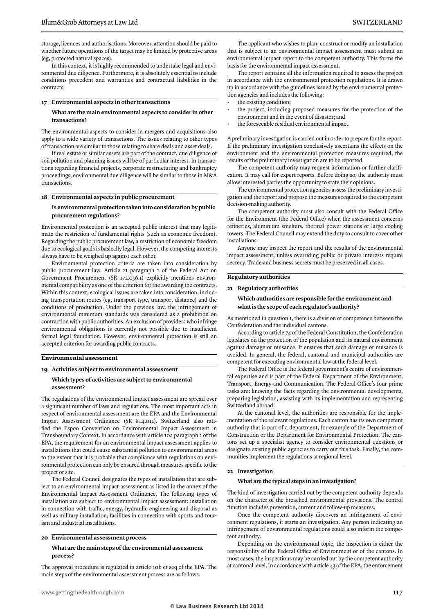storage, licences and authorisations. Moreover, attention should be paid to whether future operations of the target may be limited by protective areas (eg, protected natural spaces).

In this context, it is highly recommended to undertake legal and environmental due diligence. Furthermore, it is absolutely essential to include conditions precedent and warranties and contractual liabilities in the contracts.

#### **17 Environmental aspects in other transactions**

#### **What are the main environmental aspects to consider in other transactions?**

The environmental aspects to consider in mergers and acquisitions also apply to a wide variety of transactions. The issues relating to other types of transaction are similar to those relating to share deals and asset deals.

If real estate or similar assets are part of the contract, due diligence of soil pollution and planning issues will be of particular interest. In transactions regarding financial projects, corporate restructuring and bankruptcy proceedings, environmental due diligence will be similar to those in M&A transactions.

#### **18 Environmental aspects in public procurement**

#### **Is environmental protection taken into consideration by public procurement regulations?**

Environmental protection is an accepted public interest that may legitimate the restriction of fundamental rights (such as economic freedom). Regarding the public procurement law, a restriction of economic freedom due to ecological goals is basically legal. However, the competing interests always have to be weighed up against each other.

Environmental protection criteria are taken into consideration by public procurement law. Article 21 paragraph 1 of the Federal Act on Government Procurement (SR 172.056.1) explicitly mentions environmental compatibility as one of the criterion for the awarding the contracts. Within this context, ecological issues are taken into consideration, including transportation routes (eg, transport type, transport distance) and the conditions of production. Under the previous law, the infringement of environmental minimum standards was considered as a prohibition on contraction with public authorities. An exclusion of providers who infringe environmental obligations is currently not possible due to insufficient formal legal foundation. However, environmental protection is still an accepted criterion for awarding public contracts.

#### **Environmental assessment**

#### **19 Activities subject to environmental assessment Which types of activities are subject to environmental assessment?**

The regulations of the environmental impact assessment are spread over a significant number of laws and regulations. The most important acts in respect of environmental assessment are the EPA and the Environmental Impact Assessment Ordinance (SR 814.011). Switzerland also ratified the Espoo Convention on Environmental Impact Assessment in Transboundary Context. In accordance with article 10a paragraph 2 of the EPA, the requirement for an environmental impact assessment applies to installations that could cause substantial pollution to environmental areas to the extent that it is probable that compliance with regulations on environmental protection can only be ensured through measures specific to the project or site.

The Federal Council designates the types of installation that are subject to an environmental impact assessment as listed in the annex of the Environmental Impact Assessment Ordinance. The following types of installation are subject to environmental impact assessment: installation in connection with traffic, energy, hydraulic engineering and disposal as well as military installation, facilities in connection with sports and tourism and industrial installations.

#### **20 Environmental assessment process**

#### **What are the main steps of the environmental assessment process?**

The approval procedure is regulated in article 10b et seq of the EPA. The main steps of the environmental assessment process are as follows.

The applicant who wishes to plan, construct or modify an installation that is subject to an environmental impact assessment must submit an environmental impact report to the competent authority. This forms the basis for the environmental impact assessment.

The report contains all the information required to assess the project in accordance with the environmental protection regulations. It is drawn up in accordance with the guidelines issued by the environmental protection agencies and includes the following:

- the existing condition;
- the project, including proposed measures for the protection of the environment and in the event of disaster; and
- the foreseeable residual environmental impact.

A preliminary investigation is carried out in order to prepare for the report. If the preliminary investigation conclusively ascertains the effects on the environment and the environmental protection measures required, the results of the preliminary investigation are to be reported.

The competent authority may request information or further clarification. It may call for expert reports. Before doing so, the authority must allow interested parties the opportunity to state their opinions.

The environmental protection agencies assess the preliminary investigation and the report and propose the measures required to the competent decision-making authority.

The competent authority must also consult with the Federal Office for the Environment (the Federal Office) when the assessment concerns refineries, aluminium smelters, thermal power stations or large cooling towers. The Federal Council may extend the duty to consult to cover other installations.

Anyone may inspect the report and the results of the environmental impact assessment, unless overriding public or private interests require secrecy. Trade and business secrets must be preserved in all cases.

#### **Regulatory authorities**

#### **21 Regulatory authorities**

#### **Which authorities are responsible for the environment and what is the scope of each regulator's authority?**

As mentioned in question 1, there is a division of competence between the Confederation and the individual cantons.

According to article 74 of the Federal Constitution, the Confederation legislates on the protection of the population and its natural environment against damage or nuisance. It ensures that such damage or nuisance is avoided. In general, the federal, cantonal and municipal authorities are competent for executing environmental law at the federal level.

The Federal Office is the federal government's centre of environmental expertise and is part of the Federal Department of the Environment, Transport, Energy and Communication. The Federal Office's four prime tasks are: knowing the facts regarding the environmental developments, preparing legislation, assisting with its implementation and representing Switzerland abroad.

At the cantonal level, the authorities are responsible for the implementation of the relevant regulations. Each canton has its own competent authority that is part of a department, for example of the Department of Construction or the Department for Environmental Protection. The cantons set up a specialist agency to consider environmental questions or designate existing public agencies to carry out this task. Finally, the communities implement the regulations at regional level.

#### **22 Investigation**

#### **What are the typical steps in an investigation?**

The kind of investigation carried out by the competent authority depends on the character of the breached environmental provisions. The control function includes prevention, current and follow-up measures.

Once the competent authority discovers an infringement of environment regulations, it starts an investigation. Any person indicating an infringement of environmental regulations could also inform the competent authority.

Depending on the environmental topic, the inspection is either the responsibility of the Federal Office of Environment or of the cantons. In most cases, the inspections may be carried out by the competent authority at cantonal level. In accordance with article 43 of the EPA, the enforcement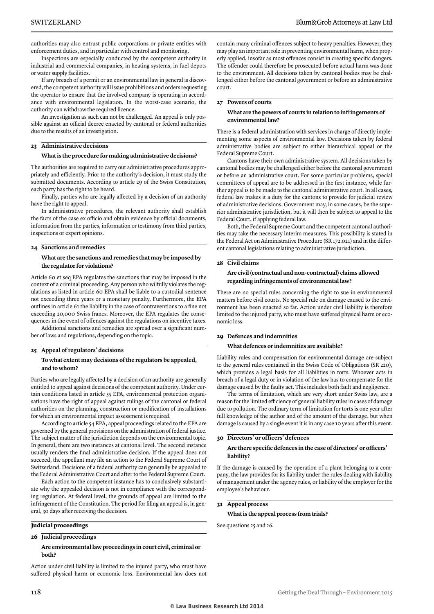authorities may also entrust public corporations or private entities with enforcement duties, and in particular with control and monitoring.

Inspections are especially conducted by the competent authority in industrial and commercial companies, in heating systems, in fuel depots or water supply facilities.

If any breach of a permit or an environmental law in general is discovered, the competent authority will issue prohibitions and orders requesting the operator to ensure that the involved company is operating in accordance with environmental legislation. In the worst-case scenario, the authority can withdraw the required licence.

An investigation as such can not be challenged. An appeal is only possible against an official decree enacted by cantonal or federal authorities due to the results of an investigation.

#### **23 Administrative decisions**

#### **What is the procedure for making administrative decisions?**

The authorities are required to carry out administrative procedures appropriately and efficiently. Prior to the authority's decision, it must study the submitted documents. According to article 29 of the Swiss Constitution, each party has the right to be heard.

Finally, parties who are legally affected by a decision of an authority have the right to appeal.

In administrative procedures, the relevant authority shall establish the facts of the case ex officio and obtain evidence by official documents, information from the parties, information or testimony from third parties, inspections or expert opinions.

#### **24 Sanctions and remedies**

#### **What are the sanctions and remedies that may be imposed by the regulator for violations?**

Article 60 et seq EPA regulates the sanctions that may be imposed in the context of a criminal proceeding. Any person who wilfully violates the regulations as listed in article 60 EPA shall be liable to a custodial sentence not exceeding three years or a monetary penalty. Furthermore, the EPA outlines in article 61 the liability in the case of contraventions to a fine not exceeding 20,000 Swiss francs. Moreover, the EPA regulates the consequences in the event of offences against the regulations on incentive taxes.

Additional sanctions and remedies are spread over a significant number of laws and regulations, depending on the topic.

#### **25 Appeal of regulators' decisions**

#### **To what extent may decisions of the regulators be appealed, and to whom?**

Parties who are legally affected by a decision of an authority are generally entitled to appeal against decisions of the competent authority. Under certain conditions listed in article 55 EPA, environmental protection organisations have the right of appeal against rulings of the cantonal or federal authorities on the planning, construction or modification of installations for which an environmental impact assessment is required.

According to article 54 EPA, appeal proceedings related to the EPA are governed by the general provisions on the administration of federal justice. The subject matter of the jurisdiction depends on the environmental topic. In general, there are two instances at cantonal level. The second instance usually renders the final administrative decision. If the appeal does not succeed, the appellant may file an action to the Federal Supreme Court of Switzerland. Decisions of a federal authority can generally be appealed to the Federal Administrative Court and after to the Federal Supreme Court.

Each action to the competent instance has to conclusively substantiate why the appealed decision is not in compliance with the corresponding regulation. At federal level, the grounds of appeal are limited to the infringement of the Constitution. The period for filing an appeal is, in general, 30 days after receiving the decision.

#### **Judicial proceedings**

#### **26 Judicial proceedings**

#### **Are environmental law proceedings in court civil, criminal or both?**

Action under civil liability is limited to the injured party, who must have suffered physical harm or economic loss. Environmental law does not contain many criminal offences subject to heavy penalties. However, they may play an important role in preventing environmental harm, when properly applied, insofar as most offences consist in creating specific dangers. The offender could therefore be prosecuted before actual harm was done to the environment. All decisions taken by cantonal bodies may be challenged either before the cantonal government or before an administrative court.

#### **27 Powers of courts**

#### **What are the powers of courts in relation to infringements of environmental law?**

There is a federal administration with services in charge of directly implementing some aspects of environmental law. Decisions taken by federal administrative bodies are subject to either hierarchical appeal or the Federal Supreme Court.

Cantons have their own administrative system. All decisions taken by cantonal bodies may be challenged either before the cantonal government or before an administrative court. For some particular problems, special committees of appeal are to be addressed in the first instance, while further appeal is to be made to the cantonal administrative court. In all cases, federal law makes it a duty for the cantons to provide for judicial review of administrative decisions. Government may, in some cases, be the superior administrative jurisdiction, but it will then be subject to appeal to the Federal Court, if applying federal law.

Both, the Federal Supreme Court and the competent cantonal authorities may take the necessary interim measures. This possibility is stated in the Federal Act on Administrative Procedure (SR 172.021) and in the different cantonal legislations relating to administrative jurisdiction.

#### **28 Civil claims**

#### **Are civil (contractual and non-contractual) claims allowed regarding infringements of environmental law?**

There are no special rules concerning the right to sue in environmental matters before civil courts. No special rule on damage caused to the environment has been enacted so far. Action under civil liability is therefore limited to the injured party, who must have suffered physical harm or economic loss.

#### **29 Defences and indemnities**

#### **What defences or indemnities are available?**

Liability rules and compensation for environmental damage are subject to the general rules contained in the Swiss Code of Obligations (SR 220), which provides a legal basis for all liabilities in torts. Whoever acts in breach of a legal duty or in violation of the law has to compensate for the damage caused by the faulty act. This includes both fault and negligence.

The terms of limitation, which are very short under Swiss law, are a reason for the limited efficiency of general liability rules in cases of damage due to pollution. The ordinary term of limitation for torts is one year after full knowledge of the author and of the amount of the damage, but when damage is caused by a single event it is in any case 10 years after this event.

#### **30 Directors' or officers' defences**

#### **Are there specific defences in the case of directors' or officers' liability?**

If the damage is caused by the operation of a plant belonging to a company, the law provides for its liability under the rules dealing with liability of management under the agency rules, or liability of the employer for the employee's behaviour.

#### **31 Appeal process**

#### **What is the appeal process from trials?**

See questions 25 and 26.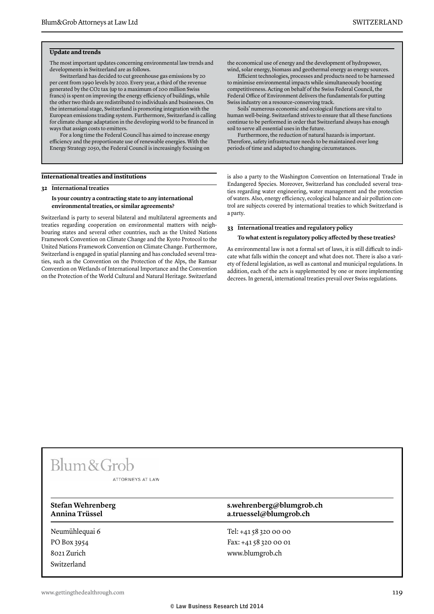#### **Update and trends**

The most important updates concerning environmental law trends and developments in Switzerland are as follows.

Switzerland has decided to cut greenhouse gas emissions by 20 per cent from 1990 levels by 2020. Every year, a third of the revenue generated by the CO2 tax (up to a maximum of 200 million Swiss francs) is spent on improving the energy efficiency of buildings, while the other two thirds are redistributed to individuals and businesses. On the international stage, Switzerland is promoting integration with the European emissions trading system. Furthermore, Switzerland is calling for climate change adaptation in the developing world to be financed in ways that assign costs to emitters.

For a long time the Federal Council has aimed to increase energy efficiency and the proportionate use of renewable energies. With the Energy Strategy 2050, the Federal Council is increasingly focusing on

#### **International treaties and institutions**

**32 International treaties**

#### **Is your country a contracting state to any international environmental treaties, or similar agreements?**

Switzerland is party to several bilateral and multilateral agreements and treaties regarding cooperation on environmental matters with neighbouring states and several other countries, such as the United Nations Framework Convention on Climate Change and the Kyoto Protocol to the United Nations Framework Convention on Climate Change. Furthermore, Switzerland is engaged in spatial planning and has concluded several treaties, such as the Convention on the Protection of the Alps, the Ramsar Convention on Wetlands of International Importance and the Convention on the Protection of the World Cultural and Natural Heritage. Switzerland the economical use of energy and the development of hydropower, wind, solar energy, biomass and geothermal energy as energy sources.

Efficient technologies, processes and products need to be harnessed to minimise environmental impacts while simultaneously boosting competitiveness. Acting on behalf of the Swiss Federal Council, the Federal Office of Environment delivers the fundamentals for putting Swiss industry on a resource-conserving track.

Soils' numerous economic and ecological functions are vital to human well-being. Switzerland strives to ensure that all these functions continue to be performed in order that Switzerland always has enough soil to serve all essential uses in the future.

Furthermore, the reduction of natural hazards is important. Therefore, safety infrastructure needs to be maintained over long periods of time and adapted to changing circumstances.

is also a party to the Washington Convention on International Trade in Endangered Species. Moreover, Switzerland has concluded several treaties regarding water engineering, water management and the protection of waters. Also, energy efficiency, ecological balance and air pollution control are subjects covered by international treaties to which Switzerland is a party.

**33 International treaties and regulatory policy**

#### **To what extent is regulatory policy affected by these treaties?**

As environmental law is not a formal set of laws, it is still difficult to indicate what falls within the concept and what does not. There is also a variety of federal legislation, as well as cantonal and municipal regulations. In addition, each of the acts is supplemented by one or more implementing decrees. In general, international treaties prevail over Swiss regulations.

### Blum & Grob

ATTORNEYS AT LAW

Neumühlequai 6 PO Box 3954 8021 Zurich Switzerland

#### **Stefan Wehrenberg s.wehrenberg@blumgrob.ch Annina Trüssel a.truessel@blumgrob.ch**

Tel: +41 58 320 00 00 Fax: +41 58 320 00 01 www.blumgrob.ch

www.gettingthedealthrough.com **119**